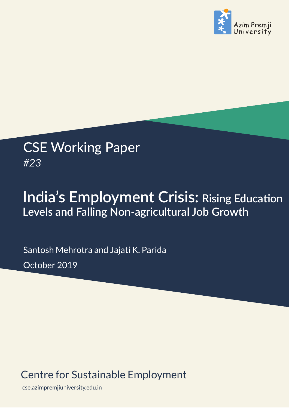

## CSE Working Paper *#23*

# **India's Employment Crisis: Rising Educaton Levels and Falling Non-agricultural Job Growth**

Santosh Mehrotra and Jajati K. Parida October 2019

### Centre for Sustainable Employment

cse.azimpremjiuniversity.edu.in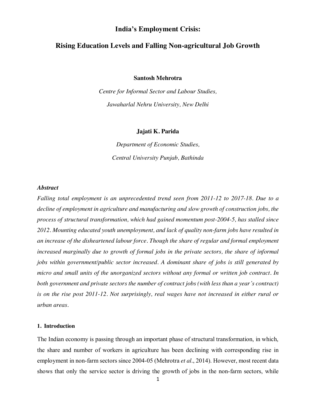#### **India's Employment Crisis:**

#### **Rising Education Levels and Falling Non-agricultural Job Growth**

**Santosh Mehrotra**

*Centre for Informal Sector and Labour Studies, Jawaharlal Nehru University, New Delhi*

#### **Jajati K. Parida**

*Department of Economic Studies, Central University Punjab, Bathinda*

#### *Abstract*

*Falling total employment is an unprecedented trend seen from 2011-12 to 2017-18. Due to a decline of employment in agriculture and manufacturing and slow growth of construction jobs, the process of structural transformation, which had gained momentum post-2004-5, has stalled since 2012. Mounting educated youth unemployment, and lack of quality non-farm jobs have resulted in an increase of the disheartened labour force. Though the share of regular and formal employment increased marginally due to growth of formal jobs in the private sectors, the share of informal jobs within government/public sector increased. A dominant share of jobs is still generated by micro and small units of the unorganized sectors without any formal or written job contract. In both government and private sectors the number of contract jobs (with less than a year's contract) is on the rise post 2011-12. Not surprisingly, real wages have not increased in either rural or urban areas.* 

#### **1. Introduction**

The Indian economy is passing through an important phase of structural transformation, in which, the share and number of workers in agriculture has been declining with corresponding rise in employment in non-farm sectors since 2004-05 (Mehrotra *et al*., 2014). However, most recent data shows that only the service sector is driving the growth of jobs in the non-farm sectors, while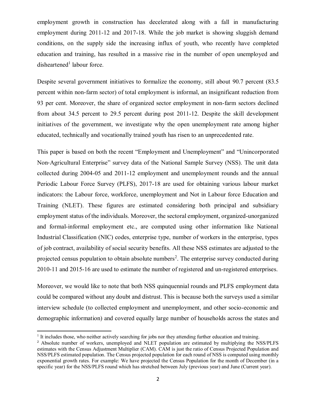employment growth in construction has decelerated along with a fall in manufacturing employment during 2011-12 and 2017-18. While the job market is showing sluggish demand conditions, on the supply side the increasing influx of youth, who recently have completed education and training, has resulted in a massive rise in the number of open unemployed and  $d$ isheartened<sup>1</sup> labour force.

Despite several government initiatives to formalize the economy, still about 90.7 percent (83.5 percent within non-farm sector) of total employment is informal, an insignificant reduction from 93 per cent. Moreover, the share of organized sector employment in non-farm sectors declined from about 34.5 percent to 29.5 percent during post 2011-12. Despite the skill development initiatives of the government, we investigate why the open unemployment rate among higher educated, technically and vocationally trained youth has risen to an unprecedented rate.

This paper is based on both the recent "Employment and Unemployment" and "Unincorporated Non‐Agricultural Enterprise" survey data of the National Sample Survey (NSS). The unit data collected during 2004-05 and 2011-12 employment and unemployment rounds and the annual Periodic Labour Force Survey (PLFS), 2017-18 are used for obtaining various labour market indicators: the Labour force, workforce, unemployment and Not in Labour force Education and Training (NLET). These figures are estimated considering both principal and subsidiary employment status of the individuals. Moreover, the sectoral employment, organized-unorganized and formal-informal employment etc., are computed using other information like National Industrial Classification (NIC) codes, enterprise type, number of workers in the enterprise, types of job contract, availability of social security benefits. All these NSS estimates are adjusted to the projected census population to obtain absolute numbers<sup>2</sup>. The enterprise survey conducted during 2010-11 and 2015-16 are used to estimate the number of registered and un-registered enterprises.

Moreover, we would like to note that both NSS quinquennial rounds and PLFS employment data could be compared without any doubt and distrust. This is because both the surveys used a similar interview schedule (to collected employment and unemployment, and other socio-economic and demographic information) and covered equally large number of households across the states and

 $\overline{a}$ 

 $<sup>1</sup>$  It includes those, who neither actively searching for jobs nor they attending further education and training.</sup>

<sup>&</sup>lt;sup>2</sup> Absolute number of workers, unemployed and NLET population are estimated by multiplying the NSS/PLFS estimates with the Census Adjustment Multiplier (CAM). CAM is just the ratio of Census Projected Population and NSS/PLFS estimated population. The Census projected population for each round of NSS is computed using monthly exponential growth rates. For example: We have projected the Census Population for the month of December (in a specific year) for the NSS/PLFS round which has stretched between July (previous year) and June (Current year).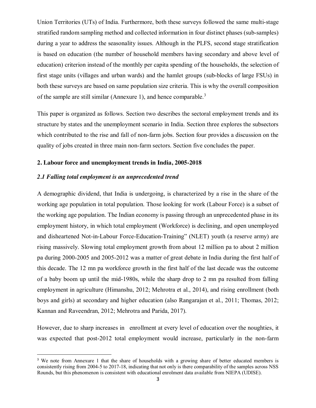Union Territories (UTs) of India. Furthermore, both these surveys followed the same multi-stage stratified random sampling method and collected information in four distinct phases (sub-samples) during a year to address the seasonality issues. Although in the PLFS, second stage stratification is based on education (the number of household members having secondary and above level of education) criterion instead of the monthly per capita spending of the households, the selection of first stage units (villages and urban wards) and the hamlet groups (sub-blocks of large FSUs) in both these surveys are based on same population size criteria. This is why the overall composition of the sample are still similar (Annexure 1), and hence comparable.<sup>3</sup>

This paper is organized as follows. Section two describes the sectoral employment trends and its structure by states and the unemployment scenario in India. Section three explores the subsectors which contributed to the rise and fall of non-farm jobs. Section four provides a discussion on the quality of jobs created in three main non-farm sectors. Section five concludes the paper.

#### **2. Labour force and unemployment trends in India, 2005-2018**

#### *2.1 Falling total employment is an unprecedented trend*

A demographic dividend, that India is undergoing, is characterized by a rise in the share of the working age population in total population. Those looking for work (Labour Force) is a subset of the working age population. The Indian economy is passing through an unprecedented phase in its employment history, in which total employment (Workforce) is declining, and open unemployed and disheartened Not-in-Labour Force-Education-Training" (NLET) youth (a reserve army) are rising massively. Slowing total employment growth from about 12 million pa to about 2 million pa during 2000-2005 and 2005-2012 was a matter of great debate in India during the first half of this decade. The 12 mn pa workforce growth in the first half of the last decade was the outcome of a baby boom up until the mid-1980s, while the sharp drop to 2 mn pa resulted from falling employment in agriculture (Himanshu, 2012; Mehrotra et al., 2014), and rising enrollment (both boys and girls) at secondary and higher education (also Rangarajan et al., 2011; Thomas, 2012; Kannan and Raveendran, 2012; Mehrotra and Parida, 2017).

However, due to sharp increases in enrollment at every level of education over the noughties, it was expected that post-2012 total employment would increase, particularly in the non-farm

<sup>&</sup>lt;sup>3</sup> We note from Annexure 1 that the share of households with a growing share of better educated members is consistently rising from 2004-5 to 2017-18, indicating that not only is there comparability of the samples across NSS Rounds, but this phenomenon is consistent with educational enrolment data available from NIEPA (UDISE).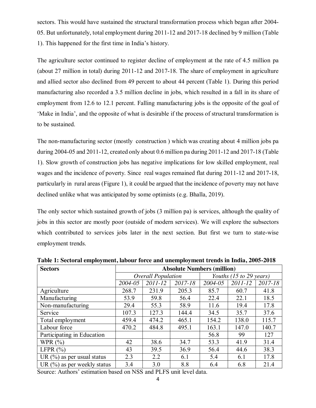sectors. This would have sustained the structural transformation process which began after 2004- 05. But unfortunately, total employment during 2011-12 and 2017-18 declined by 9 million (Table 1). This happened for the first time in India's history.

The agriculture sector continued to register decline of employment at the rate of 4.5 million pa (about 27 million in total) during 2011-12 and 2017-18. The share of employment in agriculture and allied sector also declined from 49 percent to about 44 percent (Table 1). During this period manufacturing also recorded a 3.5 million decline in jobs, which resulted in a fall in its share of employment from 12.6 to 12.1 percent. Falling manufacturing jobs is the opposite of the goal of 'Make in India', and the opposite of what is desirable if the process of structural transformation is to be sustained.

The non-manufacturing sector (mostly construction ) which was creating about 4 million jobs pa during 2004-05 and 2011-12, created only about 0.6 million pa during 2011-12 and 2017-18 (Table 1). Slow growth of construction jobs has negative implications for low skilled employment, real wages and the incidence of poverty. Since real wages remained flat during 2011-12 and 2017-18, particularly in rural areas (Figure 1), it could be argued that the incidence of poverty may not have declined unlike what was anticipated by some optimists (e.g. Bhalla, 2019).

The only sector which sustained growth of jobs (3 million pa) is services, although the quality of jobs in this sector are mostly poor (outside of modern services). We will explore the subsectors which contributed to services jobs later in the next section. But first we turn to state-wise employment trends.

| <b>Sectors</b>                 | <b>Absolute Numbers (million)</b> |         |         |                         |         |         |  |
|--------------------------------|-----------------------------------|---------|---------|-------------------------|---------|---------|--|
|                                | <b>Overall Population</b>         |         |         | Youths (15 to 29 years) |         |         |  |
|                                | 2004-05                           | 2011-12 | 2017-18 | 2004-05                 | 2011-12 | 2017-18 |  |
| Agriculture                    | 268.7                             | 231.9   | 205.3   | 85.7                    | 60.7    | 41.8    |  |
| Manufacturing                  | 53.9                              | 59.8    | 56.4    | 22.4                    | 22.1    | 18.5    |  |
| Non-manufacturing              | 29.4                              | 55.3    | 58.9    | 11.6                    | 19.4    | 17.8    |  |
| Service                        | 107.3                             | 127.3   | 144.4   | 34.5                    | 35.7    | 37.6    |  |
| Total employment               | 459.4                             | 474.2   | 465.1   | 154.2                   | 138.0   | 115.7   |  |
| Labour force                   | 470.2                             | 484.8   | 495.1   | 163.1                   | 147.0   | 140.7   |  |
| Participating in Education     |                                   |         |         | 56.8                    | 99      | 127     |  |
| WPR $(\%)$                     | 42                                | 38.6    | 34.7    | 53.3                    | 41.9    | 31.4    |  |
| LFPR $(\% )$                   | 43                                | 39.5    | 36.9    | 56.4                    | 44.6    | 38.3    |  |
| UR $(\%)$ as per usual status  | 2.3                               | 2.2     | 6.1     | 5.4                     | 6.1     | 17.8    |  |
| UR $(\%)$ as per weekly status | 3.4                               | 3.0     | 8.8     | 6.4                     | 6.8     | 21.4    |  |

**Table 1: Sectoral employment, labour force and unemployment trends in India, 2005-2018**

Source: Authors' estimation based on NSS and PLFS unit level data.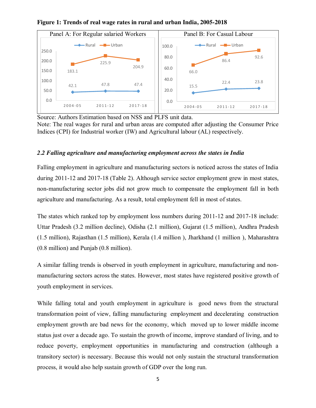

**Figure 1: Trends of real wage rates in rural and urban India, 2005-2018**

Source: Authors Estimation based on NSS and PLFS unit data. Note: The real wages for rural and urban areas are computed after adjusting the Consumer Price Indices (CPI) for Industrial worker (IW) and Agricultural labour (AL) respectively.

#### *2.2 Falling agriculture and manufacturing employment across the states in India*

Falling employment in agriculture and manufacturing sectors is noticed across the states of India during 2011-12 and 2017-18 (Table 2). Although service sector employment grew in most states, non-manufacturing sector jobs did not grow much to compensate the employment fall in both agriculture and manufacturing. As a result, total employment fell in most of states.

The states which ranked top by employment loss numbers during 2011-12 and 2017-18 include: Uttar Pradesh (3.2 million decline), Odisha (2.1 million), Gujarat (1.5 million), Andhra Pradesh (1.5 million), Rajasthan (1.5 million), Kerala (1.4 million ), Jharkhand (1 million ), Maharashtra (0.8 million) and Punjab (0.8 million).

A similar falling trends is observed in youth employment in agriculture, manufacturing and nonmanufacturing sectors across the states. However, most states have registered positive growth of youth employment in services.

While falling total and youth employment in agriculture is good news from the structural transformation point of view, falling manufacturing employment and decelerating construction employment growth are bad news for the economy, which moved up to lower middle income status just over a decade ago. To sustain the growth of income, improve standard of living, and to reduce poverty, employment opportunities in manufacturing and construction (although a transitory sector) is necessary. Because this would not only sustain the structural transformation process, it would also help sustain growth of GDP over the long run.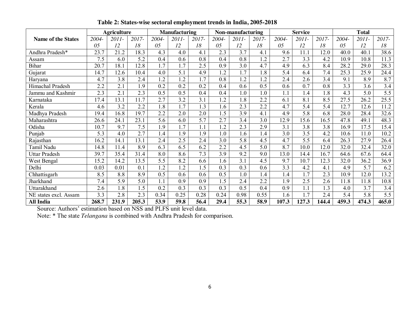|                           |          | <b>Agriculture</b> |       |       | <b>Manufacturing</b> |       |            | Non-manufacturing |       |       | <b>Service</b> |       |          | <b>Total</b> |       |
|---------------------------|----------|--------------------|-------|-------|----------------------|-------|------------|-------------------|-------|-------|----------------|-------|----------|--------------|-------|
| <b>Name of the States</b> | $2004 -$ | 2011-              | 2017- | 2004- | 2011-                | 2017- | 2004-      | 2011-             | 2017- | 2004- | 2011-          | 2017- | $2004 -$ | 2011-        | 2017- |
|                           | 05       | 12                 | 18    | 05    | 12                   | 18    | 05         | 12                | 18    | 05    | 12             | 18    | 05       | 12           | 18    |
| Andhra Pradesh*           | 23.7     | $\overline{2}1.2$  | 18.3  | 4.3   | 4.0                  | 4.1   | 2.3        | 3.7               | 4.1   | 9.6   | 11.1           | 12.0  | 40.0     | 40.1         | 38.6  |
| Assam                     | 7.5      | 6.0                | 5.2   | 0.4   | 0.6                  | 0.8   | 0.4        | 0.8               | 1.2   | 2.7   | 3.3            | 4.2   | 10.9     | 10.8         | 11.3  |
| <b>Bihar</b>              | 20.7     | 18.1               | 12.8  | 1.7   | 1.7                  | 2.5   | 0.9        | 3.0               | 4.7   | 4.9   | 6.3            | 8.4   | 28.2     | 29.0         | 28.3  |
| Gujarat                   | 14.7     | 12.6               | 10.4  | 4.0   | 5.1                  | 4.9   | 1.2        | 1.7               | 1.8   | 5.4   | 6.4            | 7.4   | 25.3     | 25.9         | 24.4  |
| Haryana                   | 4.7      | 3.8                | 2.4   | 1.2   | 1.2                  | 1.7   | 0.8        | 1.2               | 1.2   | 2.4   | 2.6            | 3.4   | 9.1      | 8.9          | 8.7   |
| Himachal Pradesh          | 2.2      | 2.1                | 1.9   | 0.2   | 0.2                  | 0.2   | 0.4        | 0.6               | 0.5   | 0.6   | 0.7            | 0.8   | 3.3      | 3.6          | 3.4   |
| Jammu and Kashmir         | 2.3      | 2.1                | 2.3   | 0.5   | 0.5                  | 0.4   | 0.4        | 1.0               | 1.0   | 1.1   | 1.4            | 1.8   | 4.3      | 5.0          | 5.5   |
| Karnataka                 | 17.4     | 13.1               | 11.7  | 2.7   | 3.2                  | 3.1   | $\cdot$ .2 | 1.8               | 2.2   | 6.1   | 8.1            | 8.5   | 27.5     | 26.2         | 25.5  |
| Kerala                    | 4.6      | 3.2                | 2.2   | 1.8   | 1.7                  | 1.3   | 1.6        | 2.3               | 2.2   | 4.7   | 5.4            | 5.4   | 12.7     | 12.6         | 11.2  |
| Madhya Pradesh            | 19.4     | 16.8               | 19.7  | 2.2   | 2.0                  | 2.0   | $\sqrt{5}$ | 3.9               | 4.1   | 4.9   | 5.8            | 6.8   | 28.0     | 28.4         | 32.6  |
| Maharashtra               | 26.6     | 24.1               | 23.1  | 5.6   | 6.0                  | 5.7   | 2.7        | 3.4               | 3.0   | 12.9  | 15.6           | 16.5  | 47.8     | 49.1         | 48.3  |
| Odisha                    | 10.7     | 9.7                | 7.5   | 1.9   | 1.7                  | 1.1   | $\cdot$    | 2.3               | 2.9   | 3.1   | 3.8            | 3.8   | 16.9     | 17.5         | 15.4  |
| Punjab                    | 5.3      | 4.0                | 2.7   | 1.4   | 1.9                  | 1.9   | 1.0        | 1.6               | 1.4   | 3.0   | 3.5            | 4.2   | 10.6     | 11.0         | 10.2  |
| Rajasthan                 | 16.2     | 14.1               | 13.1  | 2.4   | 2.5                  | 2.4   | 3.0        | 5.8               | 4.5   | 4.7   | 5.5            | 6.4   | 26.3     | 27.9         | 26.4  |
| Tamil Nadu                | 14.8     | 11.4               | 8.9   | 6.3   | 6.5                  | 6.2   | 2.2        | 4.5               | 5.0   | 8.7   | 10.0           | 12.0  | 32.0     | 32.4         | 32.0  |
| <b>Uttar Pradesh</b>      | 39.7     | 35.4               | 31.4  | 8.0   | 8.6                  | 7.3   | 3.9        | 9.2               | 9.0   | 13.0  | 14.4           | 16.7  | 64.6     | 67.6         | 64.4  |
| West Bengal               | 15.2     | 14.2               | 13.5  | 5.5   | 8.2                  | 6.6   | 1.6        | 3.1               | 4.5   | 9.7   | 10.7           | 12.3  | 32.0     | 36.2         | 36.9  |
| Delhi                     | 0.03     | 0.01               | 0.1   | 1.2   | 1.2                  | 1.5   | 0.3        | 0.3               | 0.6   | 3.3   | 4.2            | 4.1   | 4.9      | 5.7          | 6.2   |
| Chhattisgarh              | 8.5      | 8.8                | 8.9   | 0.5   | 0.6                  | 0.6   | 0.5        | 1.0               | 1.4   | 1.4   | 1.7            | 2.3   | 10.9     | 12.0         | 13.2  |
| Jharkhand                 | 7.4      | 5.9                | 5.0   | 1.1   | 0.9                  | 0.9   | 1.5        | 2.4               | 2.2   | 1.9   | 2.5            | 2.6   | 11.8     | 11.8         | 10.8  |
| Uttarakhand               | 2.6      | 1.8                | 1.5   | 0.2   | 0.3                  | 0.3   | 0.3        | 0.5               | 0.4   | 0.9   | 1.1            | 1.3   | 4.0      | 3.7          | 3.4   |
| NE states excl. Assam     | 3.3      | 2.8                | 2.3   | 0.34  | 0.25                 | 0.28  | 0.24       | 0.98              | 0.55  | 1.6   | 1.7            | 2.4   | 5.4      | 5.8          | 5.5   |
| <b>All India</b>          | 268.7    | 231.9              | 205.3 | 53.9  | 59.8                 | 56.4  | 29.4       | 55.3              | 58.9  | 107.3 | 127.3          | 144.4 | 459.3    | 474.3        | 465.0 |

**Table 2: States-wise sectoral employment trends in India, 2005-2018**

Source: Authors' estimation based on NSS and PLFS unit level data.

Note: \* The state *Telangana* is combined with Andhra Pradesh for comparison.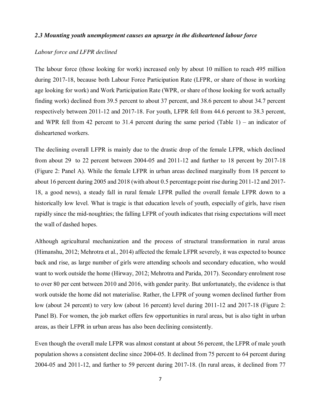#### *2.3 Mounting youth unemployment causes an upsurge in the disheartened labour force*

#### *Labour force and LFPR declined*

The labour force (those looking for work) increased only by about 10 million to reach 495 million during 2017-18, because both Labour Force Participation Rate (LFPR, or share of those in working age looking for work) and Work Participation Rate (WPR, or share of those looking for work actually finding work) declined from 39.5 percent to about 37 percent, and 38.6 percent to about 34.7 percent respectively between 2011-12 and 2017-18. For youth, LFPR fell from 44.6 percent to 38.3 percent, and WPR fell from 42 percent to 31.4 percent during the same period (Table 1) – an indicator of disheartened workers.

The declining overall LFPR is mainly due to the drastic drop of the female LFPR, which declined from about 29 to 22 percent between 2004-05 and 2011-12 and further to 18 percent by 2017-18 (Figure 2: Panel A). While the female LFPR in urban areas declined marginally from 18 percent to about 16 percent during 2005 and 2018 (with about 0.5 percentage point rise during 2011-12 and 2017- 18, a good news), a steady fall in rural female LFPR pulled the overall female LFPR down to a historically low level. What is tragic is that education levels of youth, especially of girls, have risen rapidly since the mid-noughties; the falling LFPR of youth indicates that rising expectations will meet the wall of dashed hopes.

Although agricultural mechanization and the process of structural transformation in rural areas (Himanshu, 2012; Mehrotra et al., 2014) affected the female LFPR severely, it was expected to bounce back and rise, as large number of girls were attending schools and secondary education, who would want to work outside the home (Hirway, 2012; Mehrotra and Parida, 2017). Secondary enrolment rose to over 80 per cent between 2010 and 2016, with gender parity. But unfortunately, the evidence is that work outside the home did not materialise. Rather, the LFPR of young women declined further from low (about 24 percent) to very low (about 16 percent) level during 2011-12 and 2017-18 (Figure 2: Panel B). For women, the job market offers few opportunities in rural areas, but is also tight in urban areas, as their LFPR in urban areas has also been declining consistently.

Even though the overall male LFPR was almost constant at about 56 percent, the LFPR of male youth population shows a consistent decline since 2004-05. It declined from 75 percent to 64 percent during 2004-05 and 2011-12, and further to 59 percent during 2017-18. (In rural areas, it declined from 77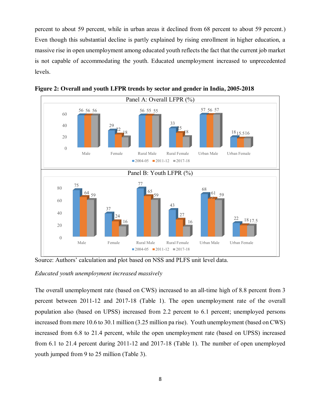percent to about 59 percent, while in urban areas it declined from 68 percent to about 59 percent.) Even though this substantial decline is partly explained by rising enrollment in higher education, a massive rise in open unemployment among educated youth reflects the fact that the current job market is not capable of accommodating the youth. Educated unemployment increased to unprecedented levels.



**Figure 2: Overall and youth LFPR trends by sector and gender in India, 2005-2018**

Source: Authors' calculation and plot based on NSS and PLFS unit level data.

*Educated youth unemployment increased massively*

The overall unemployment rate (based on CWS) increased to an all-time high of 8.8 percent from 3 percent between 2011-12 and 2017-18 (Table 1). The open unemployment rate of the overall population also (based on UPSS) increased from 2.2 percent to 6.1 percent; unemployed persons increased from mere 10.6 to 30.1 million (3.25 million pa rise). Youth unemployment (based on CWS) increased from 6.8 to 21.4 percent, while the open unemployment rate (based on UPSS) increased from 6.1 to 21.4 percent during 2011-12 and 2017-18 (Table 1). The number of open unemployed youth jumped from 9 to 25 million (Table 3).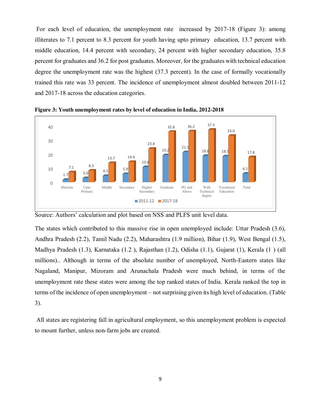For each level of education, the unemployment rate increased by 2017-18 (Figure 3): among illiterates to 7.1 percent to 8.3 percent for youth having upto primary education, 13.7 percent with middle education, 14.4 percent with secondary, 24 percent with higher secondary education, 35.8 percent for graduates and 36.2 for post graduates. Moreover, for the graduates with technical education degree the unemployment rate was the highest (37.3 percent). In the case of formally vocationally trained this rate was 33 percent. The incidence of unemployment almost doubled between 2011-12 and 2017-18 across the education categories.



**Figure 3: Youth unemployment rates by level of education in India, 2012-2018**

Source: Authors' calculation and plot based on NSS and PLFS unit level data.

The states which contributed to this massive rise in open unemployed include: Uttar Pradesh (3.6), Andhra Pradesh (2.2), Tamil Nadu (2.2), Maharashtra (1.9 million), Bihar (1.9), West Bengal (1.5), Madhya Pradesh (1.3), Karnataka (1.2 ), Rajasthan (1.2), Odisha (1.1), Gujarat (1), Kerala (1 ) (all millions).. Although in terms of the absolute number of unemployed, North-Eastern states like Nagaland, Manipur, Mizoram and Arunachala Pradesh were much behind, in terms of the unemployment rate these states were among the top ranked states of India. Kerala ranked the top in terms of the incidence of open unemployment – not surprising given its high level of education. (Table 3).

All states are registering fall in agricultural employment, so this unemployment problem is expected to mount further, unless non-farm jobs are created.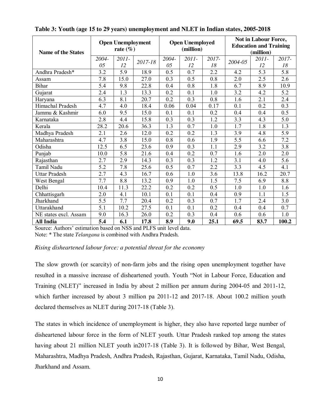| <b>Name of the States</b> |                  | <b>Open Unemployment</b><br>rate $(\% )$ |         |             | <b>Open Unemployed</b><br>(million) |                  | Not in Labour Force,<br><b>Education and Training</b><br>(million) |                  |                  |  |
|---------------------------|------------------|------------------------------------------|---------|-------------|-------------------------------------|------------------|--------------------------------------------------------------------|------------------|------------------|--|
|                           | 2004-<br>05      | 2011-<br>12                              | 2017-18 | 2004-<br>05 | 2011-<br>12                         | 2017-<br>18      | 2004-05                                                            | 2011-<br>12      | 2017-<br>18      |  |
| Andhra Pradesh*           | $\overline{3.2}$ | $\overline{5.9}$                         | 18.9    | 0.5         | 0.7                                 | $\overline{2.2}$ | 4.2                                                                | $\overline{5.3}$ | 5.8              |  |
| Assam                     | 7.8              | 15.0                                     | 27.0    | 0.3         | 0.5                                 | 0.8              | 2.0                                                                | 2.5              | 2.6              |  |
| <b>Bihar</b>              | 5.4              | 9.8                                      | 22.8    | 0.4         | 0.8                                 | 1.8              | 6.7                                                                | 8.9              | 10.9             |  |
| Gujarat                   | 2.4              | 1.3                                      | 13.3    | 0.2         | 0.1                                 | 1.0              | 3.2                                                                | 4.2              | 5.2              |  |
| Haryana                   | 6.3              | 8.1                                      | 20.7    | 0.2         | 0.3                                 | 0.8              | 1.6                                                                | 2.1              | 2.4              |  |
| Himachal Pradesh          | 4.7              | 4.0                                      | 18.4    | 0.06        | 0.04                                | 0.17             | 0.1                                                                | 0.2              | 0.3              |  |
| Jammu & Kashmir           | 6.0              | 9.5                                      | 15.0    | 0.1         | 0.1                                 | 0.2              | 0.4                                                                | 0.4              | 0.5              |  |
| Karnataka                 | 2.8              | 4.4                                      | 15.8    | 0.3         | 0.3                                 | 1.2              | 3.3                                                                | 4.3              | 5.0              |  |
| Kerala                    | 28.2             | 20.6                                     | 36.3    | 1.3         | 0.7                                 | 1.0              | 1.7                                                                | 1.8              | 1.3              |  |
| Madhya Pradesh            | 2.1              | 2.6                                      | 12.0    | 0.2         | 0.2                                 | 1.3              | 3.9                                                                | 4.8              | 5.9              |  |
| Maharashtra               | 4.7              | 3.8                                      | 15.0    | 0.8         | 0.6                                 | 1.9              | 5.5                                                                | 6.6              | 7.2              |  |
| Odisha                    | 12.5             | 6.5                                      | 23.6    | 0.9         | 0.3                                 | 1.1              | 2.9                                                                | 3.2              | $\overline{3.8}$ |  |
| Punjab                    | 10.0             | 5.8                                      | 21.6    | 0.4         | 0.2                                 | 0.7              | 1.6                                                                | 2.0              | 2.0              |  |
| Rajasthan                 | 2.7              | 2.9                                      | 14.3    | 0.3         | 0.3                                 | 1.2              | 3.1                                                                | 4.0              | 5.6              |  |
| Tamil Nadu                | 5.2              | 7.8                                      | 25.6    | 0.5         | 0.7                                 | 2.2              | 3.3                                                                | 4.5              | 4.1              |  |
| <b>Uttar Pradesh</b>      | 2.7              | 4.3                                      | 16.7    | 0.6         | 1.0                                 | 3.6              | 13.8                                                               | 16.2             | 20.7             |  |
| West Bengal               | 7.7              | 8.8                                      | 13.2    | 0.9         | 1.0                                 | 1.5              | 7.5                                                                | 6.9              | 8.8              |  |
| Delhi                     | 10.4             | 11.3                                     | 22.2    | 0.2         | 0.2                                 | 0.5              | 1.0                                                                | 1.0              | 1.6              |  |
| Chhattisgarh              | 2.0              | 4.1                                      | 10.1    | 0.1         | 0.1                                 | 0.4              | 0.9                                                                | 1.1              | 1.5              |  |
| Jharkhand                 | 5.5              | 7.7                                      | 20.4    | 0.2         | 0.3                                 | 0.7              | 1.7                                                                | 2.4              | 3.0              |  |
| Uttarakhand               | 5.1              | 10.2                                     | 27.5    | 0.1         | 0.1                                 | 0.2              | 0.4                                                                | 0.4              | 0.7              |  |
| NE states excl. Assam     | 9.0              | 16.3                                     | 26.0    | 0.2         | 0.3                                 | 0.4              | 0.6                                                                | 0.6              | 1.0              |  |
| <b>All India</b>          | 5.4              | 6.1                                      | 17.8    | 8.9         | 9.0                                 | 25.1             | 69.5                                                               | 83.7             | 100.2            |  |

#### **Table 3: Youth (age 15 to 29 years) unemployment and NLET in Indian states, 2005-2018**

Source: Authors' estimation based on NSS and PLFS unit level data. Note: \* The state *Telangana* is combined with Andhra Pradesh.

#### *Rising disheartened labour force: a potential threat for the economy*

The slow growth (or scarcity) of non-farm jobs and the rising open unemployment together have resulted in a massive increase of disheartened youth. Youth "Not in Labour Force, Education and Training (NLET)" increased in India by about 2 million per annum during 2004-05 and 2011-12, which further increased by about 3 million pa 2011-12 and 2017-18. About 100.2 million youth declared themselves as NLET during 2017-18 (Table 3).

The states in which incidence of unemployment is higher, they also have reported large number of disheartened labour force in the form of NLET youth. Uttar Pradesh ranked top among the states having about 21 million NLET youth in2017-18 (Table 3). It is followed by Bihar, West Bengal, Maharashtra, Madhya Pradesh, Andhra Pradesh, Rajasthan, Gujarat, Karnataka, Tamil Nadu, Odisha, Jharkhand and Assam.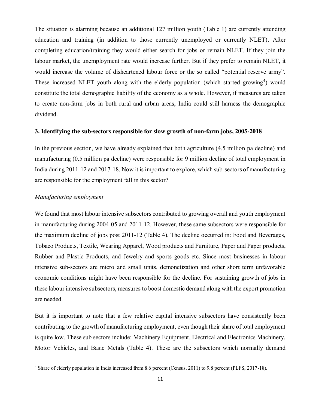The situation is alarming because an additional 127 million youth (Table 1) are currently attending education and training (in addition to those currently unemployed or currently NLET). After completing education/training they would either search for jobs or remain NLET. If they join the labour market, the unemployment rate would increase further. But if they prefer to remain NLET, it would increase the volume of disheartened labour force or the so called "potential reserve army". These increased NLET youth along with the elderly population (which started growing<sup>4</sup>) would constitute the total demographic liability of the economy as a whole. However, if measures are taken to create non-farm jobs in both rural and urban areas, India could still harness the demographic dividend.

#### **3. Identifying the sub-sectors responsible for slow growth of non-farm jobs, 2005-2018**

In the previous section, we have already explained that both agriculture (4.5 million pa decline) and manufacturing (0.5 million pa decline) were responsible for 9 million decline of total employment in India during 2011-12 and 2017-18. Now it is important to explore, which sub-sectors of manufacturing are responsible for the employment fall in this sector?

#### *Manufacturing employment*

 $\overline{a}$ 

We found that most labour intensive subsectors contributed to growing overall and youth employment in manufacturing during 2004-05 and 2011-12. However, these same subsectors were responsible for the maximum decline of jobs post 2011-12 (Table 4). The decline occurred in: Food and Beverages, Tobaco Products, Textile, Wearing Apparel, Wood products and Furniture, Paper and Paper products, Rubber and Plastic Products, and Jewelry and sports goods etc. Since most businesses in labour intensive sub-sectors are micro and small units, demonetization and other short term unfavorable economic conditions might have been responsible for the decline. For sustaining growth of jobs in these labour intensive subsectors, measures to boost domestic demand along with the export promotion are needed.

But it is important to note that a few relative capital intensive subsectors have consistently been contributing to the growth of manufacturing employment, even though their share of total employment is quite low. These sub sectors include: Machinery Equipment, Electrical and Electronics Machinery, Motor Vehicles, and Basic Metals (Table 4). These are the subsectors which normally demand

<sup>&</sup>lt;sup>4</sup> Share of elderly population in India increased from 8.6 percent (Census, 2011) to 9.8 percent (PLFS, 2017-18).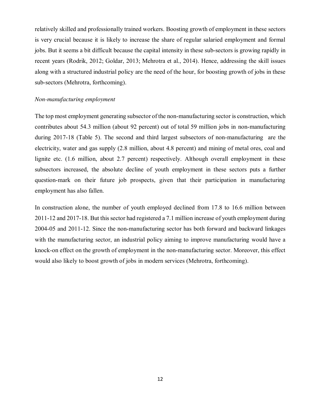relatively skilled and professionally trained workers. Boosting growth of employment in these sectors is very crucial because it is likely to increase the share of regular salaried employment and formal jobs. But it seems a bit difficult because the capital intensity in these sub-sectors is growing rapidly in recent years (Rodrik, 2012; Goldar, 2013; Mehrotra et al., 2014). Hence, addressing the skill issues along with a structured industrial policy are the need of the hour, for boosting growth of jobs in these sub-sectors (Mehrotra, forthcoming).

#### *Non-manufacturing employment*

The top most employment generating subsector of the non-manufacturing sector is construction, which contributes about 54.3 million (about 92 percent) out of total 59 million jobs in non-manufacturing during 2017-18 (Table 5). The second and third largest subsectors of non-manufacturing are the electricity, water and gas supply (2.8 million, about 4.8 percent) and mining of metal ores, coal and lignite etc. (1.6 million, about 2.7 percent) respectively. Although overall employment in these subsectors increased, the absolute decline of youth employment in these sectors puts a further question-mark on their future job prospects, given that their participation in manufacturing employment has also fallen.

In construction alone, the number of youth employed declined from 17.8 to 16.6 million between 2011-12 and 2017-18. But this sector had registered a 7.1 million increase of youth employment during 2004-05 and 2011-12. Since the non-manufacturing sector has both forward and backward linkages with the manufacturing sector, an industrial policy aiming to improve manufacturing would have a knock-on effect on the growth of employment in the non-manufacturing sector. Moreover, this effect would also likely to boost growth of jobs in modern services (Mehrotra, forthcoming).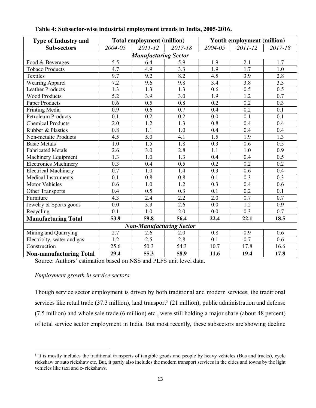| <b>Type of Industry and</b>    |                  | <b>Total employment (million)</b> |                  | Youth employment (million) |                  |                  |
|--------------------------------|------------------|-----------------------------------|------------------|----------------------------|------------------|------------------|
| <b>Sub-sectors</b>             | 2004-05          | 2011-12                           | 2017-18          | 2004-05                    | 2011-12          | 2017-18          |
|                                |                  | <b>Manufacturing Sector</b>       |                  |                            |                  |                  |
| Food & Beverages               | $\overline{5.5}$ | 6.4                               | 5.9              | 1.9                        | 2.1              | 1.7              |
| <b>Tobaco Products</b>         | 4.7              | $\overline{4.9}$                  | 3.3              | $\overline{1.9}$           | $\overline{1.7}$ | $\overline{1.0}$ |
| Textiles                       | 9.7              | 9.2                               | 8.2              | 4.5                        | 3.9              | 2.8              |
| <b>Wearing Apparel</b>         | 7.2              | 9.6                               | 9.8              | 3.4                        | 3.8              | 3.3              |
| <b>Leather Products</b>        | 1.3              | $\overline{1.3}$                  | 1.3              | $\overline{0.6}$           | 0.5              | 0.5              |
| <b>Wood Products</b>           | 5.2              | 3.9                               | 3.0              | 1.9                        | 1.2              | 0.7              |
| Paper Products                 | $\overline{0.6}$ | 0.5                               | $\overline{0.8}$ | 0.2                        | $\overline{0.2}$ | 0.3              |
| Printing Media                 | $\overline{0.9}$ | 0.6                               | 0.7              | 0.4                        | $\overline{0.2}$ | 0.1              |
| <b>Petroleum Products</b>      | 0.1              | 0.2                               | 0.2              | 0.0                        | 0.1              | 0.1              |
| <b>Chemical Products</b>       | 2.0              | 1.2                               | 1.3              | 0.8                        | 0.4              | 0.4              |
| Rubber & Plastics              | 0.8              | 1.1                               | 1.0              | 0.4                        | 0.4              | 0.4              |
| Non-metalic Products           | 4.5              | $\overline{5.0}$                  | $\overline{4.1}$ | $\overline{1.5}$           | $\overline{1.9}$ | $\overline{1.3}$ |
| <b>Basic Metals</b>            | 1.0              | $\overline{1.5}$                  | $\overline{1.8}$ | $\overline{0.3}$           | 0.6              | $\overline{0.5}$ |
| <b>Fabricated Metals</b>       | 2.6              | 3.0                               | 2.8              | 1.1                        | 1.0              | 0.9              |
| Machinery Equipment            | 1.3              | 1.0                               | $\overline{1.3}$ | 0.4                        | 0.4              | $\overline{0.5}$ |
| <b>Electronics Machinery</b>   | 0.3              | 0.4                               | $\overline{0.5}$ | 0.2                        | 0.2              | 0.2              |
| <b>Electrical Machinery</b>    | 0.7              | 1.0                               | 1.4              | 0.3                        | 0.6              | 0.4              |
| <b>Medical Instruments</b>     | 0.1              | 0.8                               | 0.8              | 0.1                        | 0.3              | 0.3              |
| <b>Motor Vehicles</b>          | 0.6              | 1.0                               | $\overline{1.2}$ | 0.3                        | 0.4              | $\overline{0.6}$ |
| Other Transports               | 0.4              | 0.5                               | 0.3              | 0.1                        | 0.2              | 0.1              |
| Furniture                      | $\overline{4.3}$ | 2.4                               | $\overline{2.2}$ | $\overline{2.0}$           | $\overline{0.7}$ | $\overline{0.7}$ |
| Jewelry & Sports goods         | 0.0              | 3.3                               | 2.6              | 0.0                        | 1.2              | 0.9              |
| Recycling                      | 0.1              | 1.0                               | 2.0              | 0.0                        | 0.3              | 0.7              |
| <b>Manufacturing Total</b>     | 53.9             | 59.8                              | 56.4             | 22.4                       | 22.1             | 18.5             |
|                                |                  | <b>Non-Manufacturing Sector</b>   |                  |                            |                  |                  |
| Mining and Quarrying           | $2.\bar{7}$      | 2.6                               | 2.0              | 0.8                        | 0.9              | 0.6              |
| Electricity, water and gas     | $\overline{1.2}$ | $\overline{2.5}$                  | 2.8              | 0.1                        | $\overline{0.7}$ | 0.6              |
| Construction                   | 25.6             | $\overline{50.3}$                 | 54.3             | 10.7                       | 17.8             | 16.6             |
| <b>Non-manufacturing Total</b> | 29.4             | 55.3                              | 58.9             | 11.6                       | 19.4             | 17.8             |

**Table 4: Subsector-wise industrial employment trends in India, 2005-2016.**

Source: Authors' estimation based on NSS and PLFS unit level data.

#### *Employment growth in service sectors*

Though service sector employment is driven by both traditional and modern services, the traditional services like retail trade (37.3 million), land transport<sup>5</sup> (21 million), public administration and defense (7.5 million) and whole sale trade (6 million) etc., were still holding a major share (about 48 percent) of total service sector employment in India. But most recently, these subsectors are showing decline

<sup>&</sup>lt;sup>5</sup> It is mostly includes the traditional transports of tangible goods and people by heavy vehicles (Bus and trucks), cycle rickshaw or auto rickshaw etc. But, it partly also includes the modern transport services in the cities and towns by the light vehicles like taxi and e- rickshaws.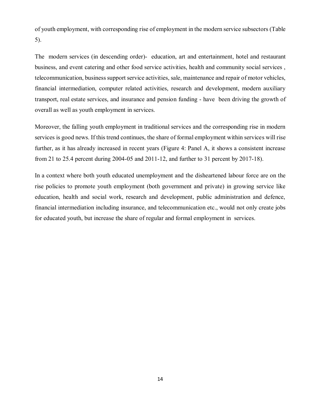of youth employment, with corresponding rise of employment in the modern service subsectors (Table 5).

The modern services (in descending order)- education, art and entertainment, hotel and restaurant business, and event catering and other food service activities, health and community social services , telecommunication, businesssupport service activities, sale, maintenance and repair of motor vehicles, financial intermediation, computer related activities, research and development, modern auxiliary transport, real estate services, and insurance and pension funding - have been driving the growth of overall as well as youth employment in services.

Moreover, the falling youth employment in traditional services and the corresponding rise in modern services is good news. If this trend continues, the share of formal employment within services will rise further, as it has already increased in recent years (Figure 4: Panel A, it shows a consistent increase from 21 to 25.4 percent during 2004-05 and 2011-12, and further to 31 percent by 2017-18).

In a context where both youth educated unemployment and the disheartened labour force are on the rise policies to promote youth employment (both government and private) in growing service like education, health and social work, research and development, public administration and defence, financial intermediation including insurance, and telecommunication etc., would not only create jobs for educated youth, but increase the share of regular and formal employment in services.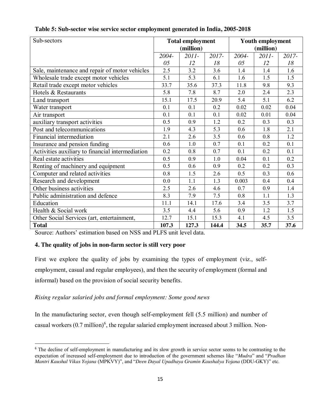| Sub-sectors                                      |       | <b>Total employment</b> |       | <b>Youth employment</b> |           |       |  |
|--------------------------------------------------|-------|-------------------------|-------|-------------------------|-----------|-------|--|
|                                                  |       | (million)               |       |                         | (million) |       |  |
|                                                  | 2004- | $2011 -$                | 2017- | 2004-                   | $2011 -$  | 2017- |  |
|                                                  | 05    | 12                      | 18    | 05                      | 12        | 18    |  |
| Sale, maintenance and repair of motor vehicles   | 2.5   | 3.2                     | 3.6   | 1.4                     | 1.4       | 1.6   |  |
| Wholesale trade except motor vehicles            | 5.1   | 5.3                     | 6.1   | 1.6                     | 1.5       | 1.5   |  |
| Retail trade except motor vehicles               | 33.7  | 35.6                    | 37.3  | 11.8                    | 9.8       | 9.3   |  |
| Hotels & Restaurants                             | 5.8   | 7.8                     | 8.7   | 2.0                     | 2.4       | 2.3   |  |
| Land transport                                   | 15.1  | 17.5                    | 20.9  | 5.4                     | 5.1       | 6.2   |  |
| Water transport                                  | 0.1   | 0.1                     | 0.2   | 0.02                    | 0.02      | 0.04  |  |
| Air transport                                    | 0.1   | 0.1                     | 0.1   | 0.02                    | 0.01      | 0.04  |  |
| auxiliary transport activities                   | 0.5   | 0.9                     | 1.2   | 0.2                     | 0.3       | 0.3   |  |
| Post and telecommunications                      | 1.9   | 4.3                     | 5.3   | 0.6                     | 1.8       | 2.1   |  |
| Financial intermediation                         | 2.1   | 2.6                     | 3.5   | 0.6                     | 0.8       | 1.2   |  |
| Insurance and pension funding                    | 0.6   | 1.0                     | 0.7   | 0.1                     | 0.2       | 0.1   |  |
| Activities auxiliary to financial intermediation | 0.2   | 0.8                     | 0.7   | 0.1                     | 0.2       | 0.1   |  |
| Real estate activities                           | 0.5   | 0.9                     | 1.0   | 0.04                    | 0.1       | 0.2   |  |
| Renting of machinery and equipment               | 0.5   | 0.6                     | 0.9   | 0.2                     | 0.2       | 0.3   |  |
| Computer and related activities                  | 0.8   | 1.5                     | 2.6   | 0.5                     | 0.3       | 0.6   |  |
| Research and development                         | 0.0   | 1.1                     | 1.3   | 0.003                   | 0.4       | 0.4   |  |
| Other business activities                        | 2.5   | 2.6                     | 4.6   | 0.7                     | 0.9       | 1.4   |  |
| Public administration and defence                | 8.3   | 7.9                     | 7.5   | 0.8                     | 1.1       | 1.3   |  |
| Education                                        | 11.1  | 14.1                    | 17.6  | 3.4                     | 3.5       | 3.7   |  |
| Health & Social work                             | 3.5   | 4.4                     | 5.6   | 0.9                     | 1.2       | 1.5   |  |
| Other Social Services (art, entertainment,       | 12.7  | 15.1                    | 15.3  | 4.1                     | 4.5       | 3.5   |  |
| <b>Total</b>                                     | 107.3 | 127.3                   | 144.4 | 34.5                    | 35.7      | 37.6  |  |

**Table 5: Sub-sector wise service sector employment generated in India, 2005-2018**

Source: Authors' estimation based on NSS and PLFS unit level data.

#### **4. The quality of jobs in non-farm sector is still very poor**

First we explore the quality of jobs by examining the types of employment (viz., selfemployment, casual and regular employees), and then the security of employment (formal and informal) based on the provision of social security benefits.

#### *Rising regular salaried jobs and formal employment: Some good news*

In the manufacturing sector, even though self-employment fell (5.5 million) and number of casual workers (0.7 million)<sup>6</sup>, the regular salaried employment increased about 3 million. Non-

<sup>&</sup>lt;sup>6</sup> The decline of self-employment in manufacturing and its slow growth in service sector seems to be contrasting to the expectation of increased self-employment due to introduction of the government schemes like "*Mudra*" and "*Pradhan Mantri Kaushal Vikas Yojana* (MPKVY)", and "*Deen Dayal Upadhaya Gramin Kaushalya Yojana* (DDU-GKY)" etc.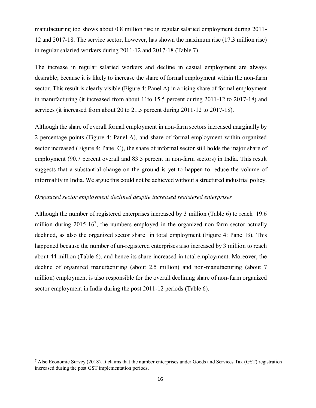manufacturing too shows about 0.8 million rise in regular salaried employment during 2011- 12 and 2017-18. The service sector, however, has shown the maximum rise (17.3 million rise) in regular salaried workers during 2011-12 and 2017-18 (Table 7).

The increase in regular salaried workers and decline in casual employment are always desirable; because it is likely to increase the share of formal employment within the non-farm sector. This result is clearly visible (Figure 4: Panel A) in a rising share of formal employment in manufacturing (it increased from about 11to 15.5 percent during 2011-12 to 2017-18) and services (it increased from about 20 to 21.5 percent during 2011-12 to 2017-18).

Although the share of overall formal employment in non-farm sectors increased marginally by 2 percentage points (Figure 4: Panel A), and share of formal employment within organized sector increased (Figure 4: Panel C), the share of informal sector still holds the major share of employment (90.7 percent overall and 83.5 percent in non-farm sectors) in India. This result suggests that a substantial change on the ground is yet to happen to reduce the volume of informality in India. We argue this could not be achieved without a structured industrial policy.

#### *Organized sector employment declined despite increased registered enterprises*

Although the number of registered enterprises increased by 3 million (Table 6) to reach 19.6 million during  $2015-16^7$ , the numbers employed in the organized non-farm sector actually declined, as also the organized sector share in total employment (Figure 4: Panel B). This happened because the number of un-registered enterprises also increased by 3 million to reach about 44 million (Table 6), and hence its share increased in total employment. Moreover, the decline of organized manufacturing (about 2.5 million) and non-manufacturing (about 7 million) employment is also responsible for the overall declining share of non-farm organized sector employment in India during the post 2011-12 periods (Table 6).

 <sup>7</sup> Also Economic Survey (2018). It claims that the number enterprises under Goods and Services Tax (GST) registration increased during the post GST implementation periods.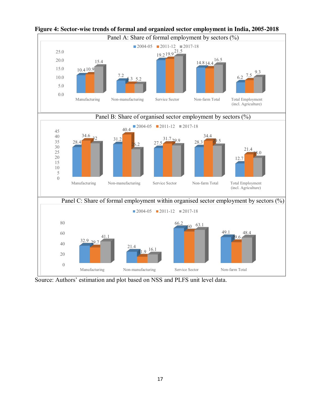

### **Figure 4: Sector-wise trends of formal and organized sector employment in India, 2005-2018**

Source: Authors' estimation and plot based on NSS and PLFS unit level data.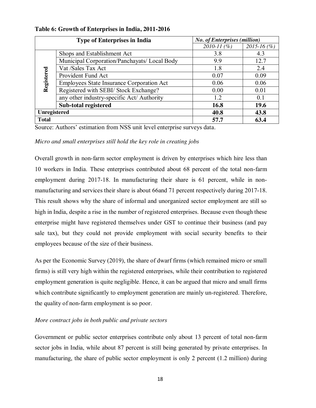|              | <b>Type of Enterprises in India</b>          | <b>No. of Enterprises (million)</b> |                 |
|--------------|----------------------------------------------|-------------------------------------|-----------------|
|              |                                              | $2010 - 11$ (%)                     | $2015 - 16$ (%) |
|              | Shops and Establishment Act                  | 3.8                                 | 4.3             |
|              | Municipal Corporation/Panchayats/ Local Body | 9.9                                 | 12.7            |
|              | Vat /Sales Tax Act                           | 1.8                                 | 2.4             |
| Registered   | Provident Fund Act                           | 0.07                                | 0.09            |
|              | Employees State Insurance Corporation Act    | 0.06                                | 0.06            |
|              | Registered with SEBI/ Stock Exchange?        | 0.00                                | 0.01            |
|              | any other industry-specific Act/ Authority   | 1.2                                 | 0.1             |
|              | Sub-total registered                         | 16.8                                | 19.6            |
| Unregistered |                                              | 40.8                                | 43.8            |
| <b>Total</b> |                                              | 57.7                                | 63.4            |

**Table 6: Growth of Enterprises in India, 2011-2016**

Source: Authors' estimation from NSS unit level enterprise surveys data.

*Micro and small enterprises still hold the key role in creating jobs*

Overall growth in non-farm sector employment is driven by enterprises which hire less than 10 workers in India. These enterprises contributed about 68 percent of the total non-farm employment during 2017-18. In manufacturing their share is 61 percent, while in nonmanufacturing and services their share is about 66and 71 percent respectively during 2017-18. This result shows why the share of informal and unorganized sector employment are still so high in India, despite a rise in the number of registered enterprises. Because even though these enterprise might have registered themselves under GST to continue their business (and pay sale tax), but they could not provide employment with social security benefits to their employees because of the size of their business.

As per the Economic Survey (2019), the share of dwarf firms (which remained micro or small firms) is still very high within the registered enterprises, while their contribution to registered employment generation is quite negligible. Hence, it can be argued that micro and small firms which contribute significantly to employment generation are mainly un-registered. Therefore, the quality of non-farm employment is so poor.

#### *More contract jobs in both public and private sectors*

Government or public sector enterprises contribute only about 13 percent of total non-farm sector jobs in India, while about 87 percent is still being generated by private enterprises. In manufacturing, the share of public sector employment is only 2 percent (1.2 million) during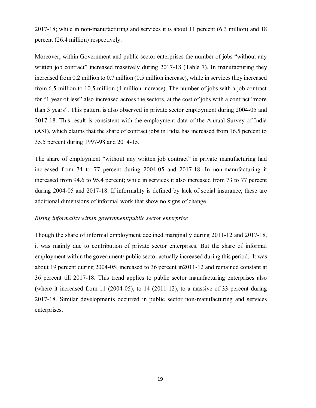2017-18; while in non-manufacturing and services it is about 11 percent (6.3 million) and 18 percent (26.4 million) respectively.

Moreover, within Government and public sector enterprises the number of jobs "without any written job contract" increased massively during 2017-18 (Table 7). In manufacturing they increased from 0.2 million to 0.7 million (0.5 million increase), while in services they increased from 6.5 million to 10.5 million (4 million increase). The number of jobs with a job contract for "1 year of less" also increased across the sectors, at the cost of jobs with a contract "more than 3 years". This pattern is also observed in private sector employment during 2004-05 and 2017-18. This result is consistent with the employment data of the Annual Survey of India (ASI), which claims that the share of contract jobs in India has increased from 16.5 percent to 35.5 percent during 1997-98 and 2014-15.

The share of employment "without any written job contract" in private manufacturing had increased from 74 to 77 percent during 2004-05 and 2017-18. In non-manufacturing it increased from 94.6 to 95.4 percent; while in services it also increased from 73 to 77 percent during 2004-05 and 2017-18. If informality is defined by lack of social insurance, these are additional dimensions of informal work that show no signs of change.

#### *Rising informality within government/public sector enterprise*

Though the share of informal employment declined marginally during 2011-12 and 2017-18, it was mainly due to contribution of private sector enterprises. But the share of informal employment within the government/ public sector actually increased during this period. It was about 19 percent during 2004-05; increased to 36 percent in2011-12 and remained constant at 36 percent till 2017-18. This trend applies to public sector manufacturing enterprises also (where it increased from 11  $(2004-05)$ , to 14  $(2011-12)$ , to a massive of 33 percent during 2017-18. Similar developments occurred in public sector non-manufacturing and services enterprises.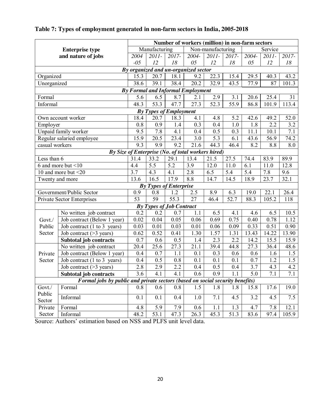|                                          |                                                                               | Number of workers (million) in non-farm sectors |                  |                                 |                                                    |                   |       |       |                  |                  |  |
|------------------------------------------|-------------------------------------------------------------------------------|-------------------------------------------------|------------------|---------------------------------|----------------------------------------------------|-------------------|-------|-------|------------------|------------------|--|
|                                          | <b>Enterprise type</b>                                                        |                                                 | Manufacturing    |                                 |                                                    | Non-manufacturing |       |       | Service          |                  |  |
|                                          | and nature of jobs                                                            | 2004                                            | $2011 -$         | $2017 -$                        | 2004-                                              | 2011-             | 2017- | 2004- | 2011-            | 2017-            |  |
|                                          |                                                                               | $-05$                                           | 12               | 18                              | 05                                                 | 12                | 18    | 05    | 12               | 18               |  |
|                                          |                                                                               |                                                 |                  |                                 | By organized and un-organized sector               |                   |       |       |                  |                  |  |
| Organized                                |                                                                               | 15.3                                            | 20.7             | 18.1                            | 9.2                                                | 22.3              | 15.4  | 29.5  | 40.3             | 43.2             |  |
| Unorganized                              |                                                                               | 38.6                                            | 39.1             | 38.4                            | 20.2                                               | 32.9              | 43.5  | 77.9  | 87               | 101.3            |  |
| <b>By Formal and Informal Employment</b> |                                                                               |                                                 |                  |                                 |                                                    |                   |       |       |                  |                  |  |
| Formal                                   |                                                                               | 5.6                                             | 6.5              | 8.7                             | 2.1                                                | 2.9               | 3.1   | 20.6  | 25.4             | 31               |  |
| Informal                                 |                                                                               | 48.3                                            | 53.3             | 47.7                            | 27.3                                               | 52.3              | 55.9  | 86.8  | 101.9            | 113.4            |  |
|                                          |                                                                               |                                                 |                  | <b>By Types of Employment</b>   |                                                    |                   |       |       |                  |                  |  |
|                                          | Own account worker                                                            | 18.4                                            | 20.7             | 18.3                            | 4.1                                                | 4.8               | 5.2   | 42.6  | 49.2             | 52.0             |  |
| Employer                                 |                                                                               | 0.8                                             | 0.9              | 1.4                             | 0.3                                                | 0.4               | 1.0   | 1.8   | 2.2              | 3.2              |  |
|                                          | Unpaid family worker                                                          | 9.5                                             | 7.8              | 4.1                             | 0.4                                                | 0.5               | 0.3   | 11.1  | 10.1             | 7.1              |  |
|                                          | Regular salaried employee                                                     | 15.9                                            | 20.5             | 23.4                            | 3.0                                                | 5.3               | 6.1   | 43.6  | 56.9             | 74.2             |  |
| casual workers                           |                                                                               | 9.3                                             | 9.9              | 9.2                             | 21.6                                               | 44.3              | 46.4  | 8.2   | 8.8              | 8.0              |  |
|                                          |                                                                               |                                                 |                  |                                 | By Size of Enterprise (No. of total workers hired) |                   |       |       |                  |                  |  |
| Less than 6                              |                                                                               | 31.4                                            | 33.2             | 29.1                            | 13.4                                               | 21.5              | 27.5  | 74.4  | 83.9             | 89.9             |  |
| 6 and more but <10                       |                                                                               | 4.4                                             | 5.5              | 5.2                             | 3.9                                                | 12.0              | 11.0  | 6.1   | 11.0             | 12.8             |  |
| 10 and more but <20                      |                                                                               | 3.7                                             | 4.3              | 4.1                             | 2.8                                                | 6.5               | 5.4   | 5.4   | 7.8              | 9.6              |  |
|                                          | Twenty and more                                                               | 13.6                                            | 16.5             | 17.9                            | 8.8                                                | 14.7              | 14.5  | 18.9  | 23.7             | 32.1             |  |
|                                          |                                                                               |                                                 |                  | <b>By Types of Enterprise</b>   |                                                    |                   |       |       |                  |                  |  |
|                                          | Government/Public Sector                                                      | $0.\overline{9}$                                | 0.8              | 1.2                             | 2.5                                                | 8.9               | 6.3   | 19.0  | 22.1             | 26.4             |  |
|                                          | <b>Private Sector Enterprises</b>                                             | $\overline{53}$                                 | 59               | 55.3                            | 27                                                 | 46.4              | 52.7  | 88.3  | 105.2            | 118              |  |
|                                          |                                                                               |                                                 |                  | <b>By Types of Job Contract</b> |                                                    |                   |       |       |                  |                  |  |
|                                          | No written job contract                                                       | 0.2                                             | 0.2              | 0.7                             | 1.1                                                | 6.5               | 4.1   | 4.6   | 6.5              | 10.5             |  |
| Govt./                                   | Job contract (Below 1 year)                                                   | 0.02                                            | 0.04             | 0.05                            | 0.06                                               | 0.69              | 0.75  | 0.40  | 0.78             | 1.12             |  |
| Public                                   | Job contract $(1 to 3 years)$                                                 | 0.03                                            | 0.01             | 0.03                            | 0.01                                               | 0.06              | 0.09  | 0.33  | 0.51             | 0.90             |  |
| Sector                                   | Job contract $($ >3 years $)$                                                 | 0.62                                            | 0.52             | 0.41                            | 1.30                                               | 1.57              | 1.31  | 13.43 | 14.22            | 13.90            |  |
|                                          | Subtotal job contracts                                                        | 0.7                                             | 0.6              | 0.5                             | 1.4                                                | 2.3               | 2.2   | 14.2  | 15.5             | 15.9             |  |
|                                          | No written job contract                                                       | 20.4                                            | 25.6             | 27.3                            | 21.1                                               | 39.4              | 44.8  | 27.3  | 36.4             | 48.6             |  |
| Private                                  | Job contract (Below 1 year)                                                   | 0.4                                             | 0.7              | 1.1                             | 0.1                                                | 0.3               | 0.6   | 0.6   | 1.6              | 1.5              |  |
| Sector                                   | Job contract $(1 to 3 years)$                                                 | 0.4                                             | 0.5              | 0.8                             | 0.1                                                | 0.1               | 0.1   | 0.7   | 1.2              | $\overline{1.5}$ |  |
|                                          | Job contract $($ >3 years $)$                                                 | $\overline{2.8}$                                | $\overline{2.9}$ | 2.2                             | 0.4                                                | 0.5               | 0.4   | 3.7   | $\overline{4.3}$ | $\overline{4.2}$ |  |
|                                          | Subtotal job contracts                                                        | 3.6                                             | 4.1              | 4.1                             | 0.6                                                | 0.9               | 1.1   | 5.0   | 7.1              | 7.1              |  |
|                                          | Formal jobs by public and private sectors (based on social security benefits) |                                                 |                  |                                 |                                                    |                   |       |       |                  |                  |  |
| Govt./                                   | Formal                                                                        | 0.8                                             | 0.6              | 0.8                             | 1.5                                                | 1.8               | 1.8   | 15.8  | 17.6             | 19.0             |  |
| Public<br>Sector                         | Informal                                                                      | 0.1                                             | 0.1              | 0.4                             | $1.0\,$                                            | 7.1               | 4.5   | 3.2   | 4.5              | 7.5              |  |
| Private                                  | Formal                                                                        | 4.8                                             | 5.9              | 7.9                             | 0.6                                                | 1.1               | 1.3   | 4.7   | 7.8              | 12.1             |  |
| Sector                                   | Informal                                                                      | 48.2                                            | 53.1             | 47.3                            | 26.3                                               | 45.3              | 51.3  | 83.6  | 97.4             | 105.9            |  |
|                                          |                                                                               |                                                 |                  |                                 |                                                    |                   |       |       |                  |                  |  |

#### **Table 7: Types of employment generated in non-farm sectors in India, 2005-2018**

Source: Authors' estimation based on NSS and PLFS unit level data.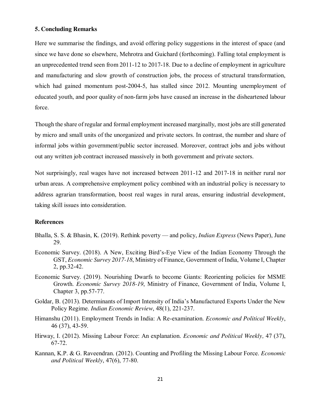#### **5. Concluding Remarks**

Here we summarise the findings, and avoid offering policy suggestions in the interest of space (and since we have done so elsewhere, Mehrotra and Guichard (forthcoming). Falling total employment is an unprecedented trend seen from 2011-12 to 2017-18. Due to a decline of employment in agriculture and manufacturing and slow growth of construction jobs, the process of structural transformation, which had gained momentum post-2004-5, has stalled since 2012. Mounting unemployment of educated youth, and poor quality of non-farm jobs have caused an increase in the disheartened labour force.

Though the share of regular and formal employment increased marginally, most jobs are still generated by micro and small units of the unorganized and private sectors. In contrast, the number and share of informal jobs within government/public sector increased. Moreover, contract jobs and jobs without out any written job contract increased massively in both government and private sectors.

Not surprisingly, real wages have not increased between 2011-12 and 2017-18 in neither rural nor urban areas. A comprehensive employment policy combined with an industrial policy is necessary to address agrarian transformation, boost real wages in rural areas, ensuring industrial development, taking skill issues into consideration.

#### **References**

- Bhalla, S. S. & Bhasin, K. (2019). Rethink poverty and policy, *Indian Express* (News Paper), June 29.
- Economic Survey. (2018). A New, Exciting Bird's-Eye View of the Indian Economy Through the GST, *Economic Survey 2017-18*, Ministry of Finance, Government of India, Volume I, Chapter 2, pp.32-42.
- Economic Survey. (2019). Nourishing Dwarfs to become Giants: Reorienting policies for MSME Growth. *Economic Survey 2018-19*, Ministry of Finance, Government of India, Volume I, Chapter 3, pp.57-77.
- Goldar, B. (2013). Determinants of Import Intensity of India's Manufactured Exports Under the New Policy Regime. *Indian Economic Review*, 48(1), 221-237.
- Himanshu (2011). Employment Trends in India: A Re-examination. *Economic and Political Weekly*, 46 (37), 43-59.
- Hirway, I. (2012). Missing Labour Force: An explanation. *Economic and Political Weekly,* 47 (37), 67-72.
- Kannan, K.P. & G. Raveendran. (2012). Counting and Profiling the Missing Labour Force. *Economic and Political Weekly*, 47(6), 77-80.